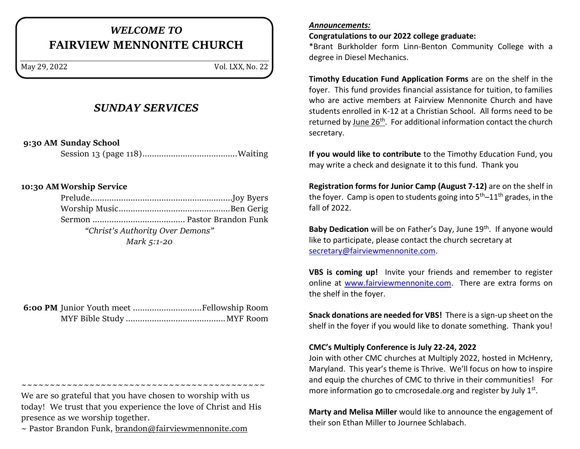# *WELCOME TO* **FAIRVIEW MENNONITE CHURCH**

May 29, 2022 Vol. LXX, No. 22

# *SUNDAY SERVICES*

**9:30 AM Sunday School**

Session 13 (page 118)........................................Waiting

# **10:30 AMWorship Service**

| "Christ's Authority Over Demons" |  |
|----------------------------------|--|
| Mark 5:1-20                      |  |

We are so grateful that you have chosen to worship with us today! We trust that you experience the love of Christ and His presence as we worship together.

~~~~~~~~~~~~~~~~~~~~~~~~~~~~~~~~~~~~~~~~~~~

 $\sim$  Pastor Brandon Funk, [brandon@fairviewmennonite.com](mailto:brandon@fairviewmennonite.com)

#### *Announcements:*

**Congratulations to our 2022 college graduate:**

\*Brant Burkholder form Linn-Benton Community College with a degree in Diesel Mechanics.

**Timothy Education Fund Application Forms** are on the shelf in the foyer. This fund provides financial assistance for tuition, to families who are active members at Fairview Mennonite Church and have students enrolled in K-12 at a Christian School. All forms need to be returned by June  $26<sup>th</sup>$ . For additional information contact the church secretary.

**If you would like to contribute** to the Timothy Education Fund, you may write a check and designate it to this fund. Thank you

**Registration forms for Junior Camp (August 7-12)** are on the shelf in the foyer. Camp is open to students going into 5<sup>th</sup>-11<sup>th</sup> grades, in the fall of 2022.

Baby Dedication will be on Father's Day, June 19<sup>th</sup>. If anyone would like to participate, please contact the church secretary at [secretary@fairviewmennonite.com.](mailto:secretary@fairviewmennonite.com)

**VBS is coming up!** Invite your friends and remember to register online at [www.fairviewmennonite.com.](http://www.fairviewmennonite.com/) There are extra forms on the shelf in the foyer.

**Snack donations are needed for VBS!** There is a sign-up sheet on the shelf in the foyer if you would like to donate something. Thank you!

## **CMC's Multiply Conference is July 22-24, 2022**

Join with other CMC churches at Multiply 2022, hosted in McHenry, Maryland. This year's theme is Thrive. We'll focus on how to inspire and equip the churches of CMC to thrive in their communities! For more information go to cmcrosedale.org and register by July 1<sup>st</sup>.

**Marty and Melisa Miller** would like to announce the engagement of their son Ethan Miller to Journee Schlabach.